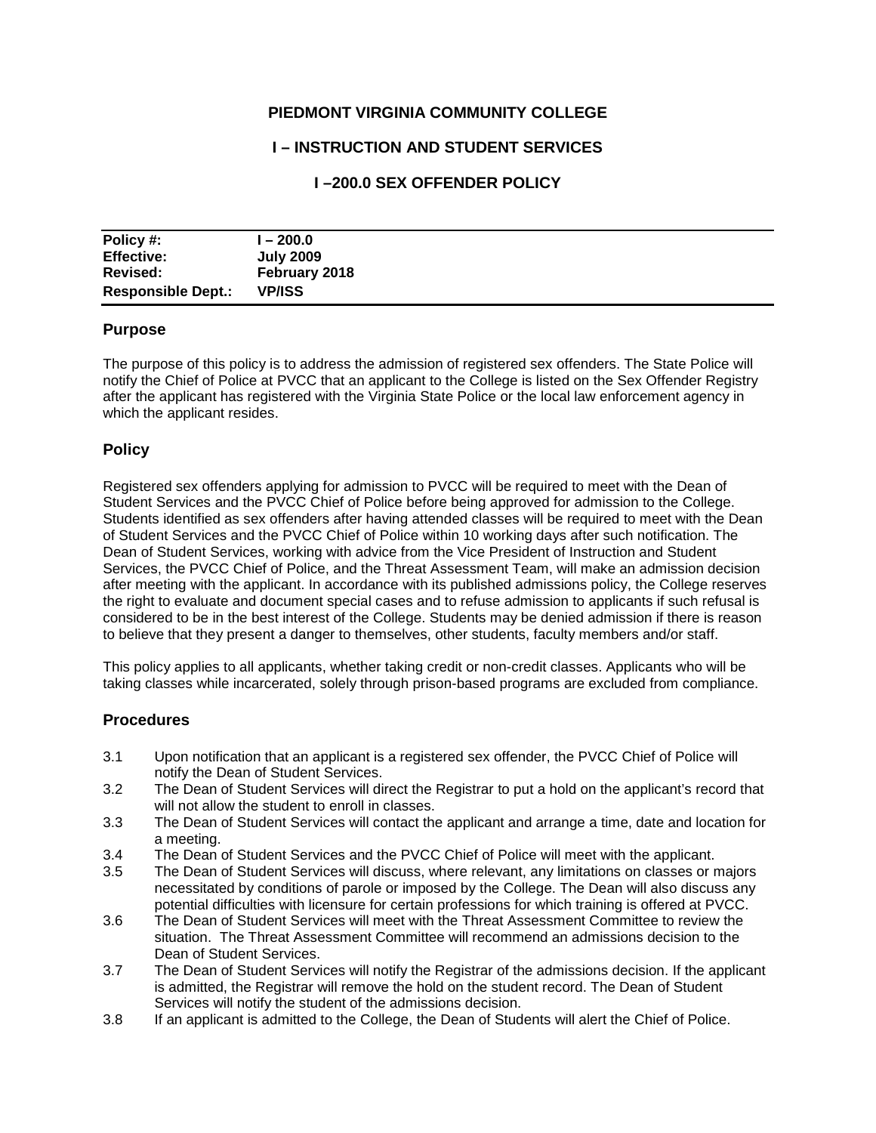## **PIEDMONT VIRGINIA COMMUNITY COLLEGE**

## **I – INSTRUCTION AND STUDENT SERVICES**

# **I –200.0 SEX OFFENDER POLICY**

| Policy #:                 | $-200.0$         |
|---------------------------|------------------|
| <b>Effective:</b>         | <b>July 2009</b> |
| Revised:                  | February 2018    |
| <b>Responsible Dept.:</b> | <b>VP/ISS</b>    |

#### **Purpose**

The purpose of this policy is to address the admission of registered sex offenders. The State Police will notify the Chief of Police at PVCC that an applicant to the College is listed on the Sex Offender Registry after the applicant has registered with the Virginia State Police or the local law enforcement agency in which the applicant resides.

#### **Policy**

Registered sex offenders applying for admission to PVCC will be required to meet with the Dean of Student Services and the PVCC Chief of Police before being approved for admission to the College. Students identified as sex offenders after having attended classes will be required to meet with the Dean of Student Services and the PVCC Chief of Police within 10 working days after such notification. The Dean of Student Services, working with advice from the Vice President of Instruction and Student Services, the PVCC Chief of Police, and the Threat Assessment Team, will make an admission decision after meeting with the applicant. In accordance with its published admissions policy, the College reserves the right to evaluate and document special cases and to refuse admission to applicants if such refusal is considered to be in the best interest of the College. Students may be denied admission if there is reason to believe that they present a danger to themselves, other students, faculty members and/or staff.

This policy applies to all applicants, whether taking credit or non-credit classes. Applicants who will be taking classes while incarcerated, solely through prison-based programs are excluded from compliance.

## **Procedures**

- 3.1 Upon notification that an applicant is a registered sex offender, the PVCC Chief of Police will notify the Dean of Student Services.
- 3.2 The Dean of Student Services will direct the Registrar to put a hold on the applicant's record that will not allow the student to enroll in classes.
- 3.3 The Dean of Student Services will contact the applicant and arrange a time, date and location for a meeting.
- 3.4 The Dean of Student Services and the PVCC Chief of Police will meet with the applicant.
- 3.5 The Dean of Student Services will discuss, where relevant, any limitations on classes or majors necessitated by conditions of parole or imposed by the College. The Dean will also discuss any potential difficulties with licensure for certain professions for which training is offered at PVCC.
- 3.6 The Dean of Student Services will meet with the Threat Assessment Committee to review the situation. The Threat Assessment Committee will recommend an admissions decision to the Dean of Student Services.
- 3.7 The Dean of Student Services will notify the Registrar of the admissions decision. If the applicant is admitted, the Registrar will remove the hold on the student record. The Dean of Student Services will notify the student of the admissions decision.
- 3.8 If an applicant is admitted to the College, the Dean of Students will alert the Chief of Police.